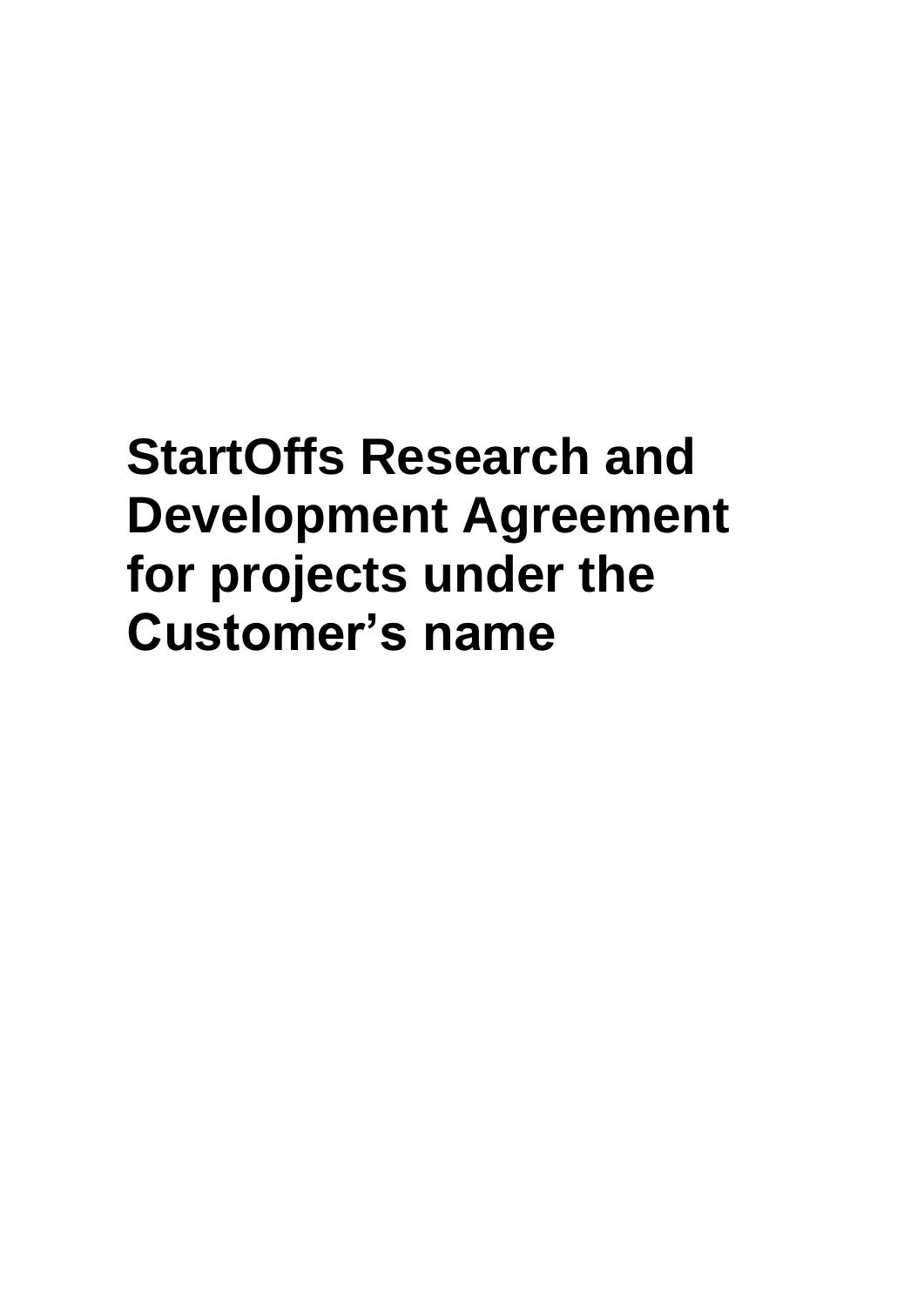# **StartOffs Research and Development Agreement for projects under the Customer's name**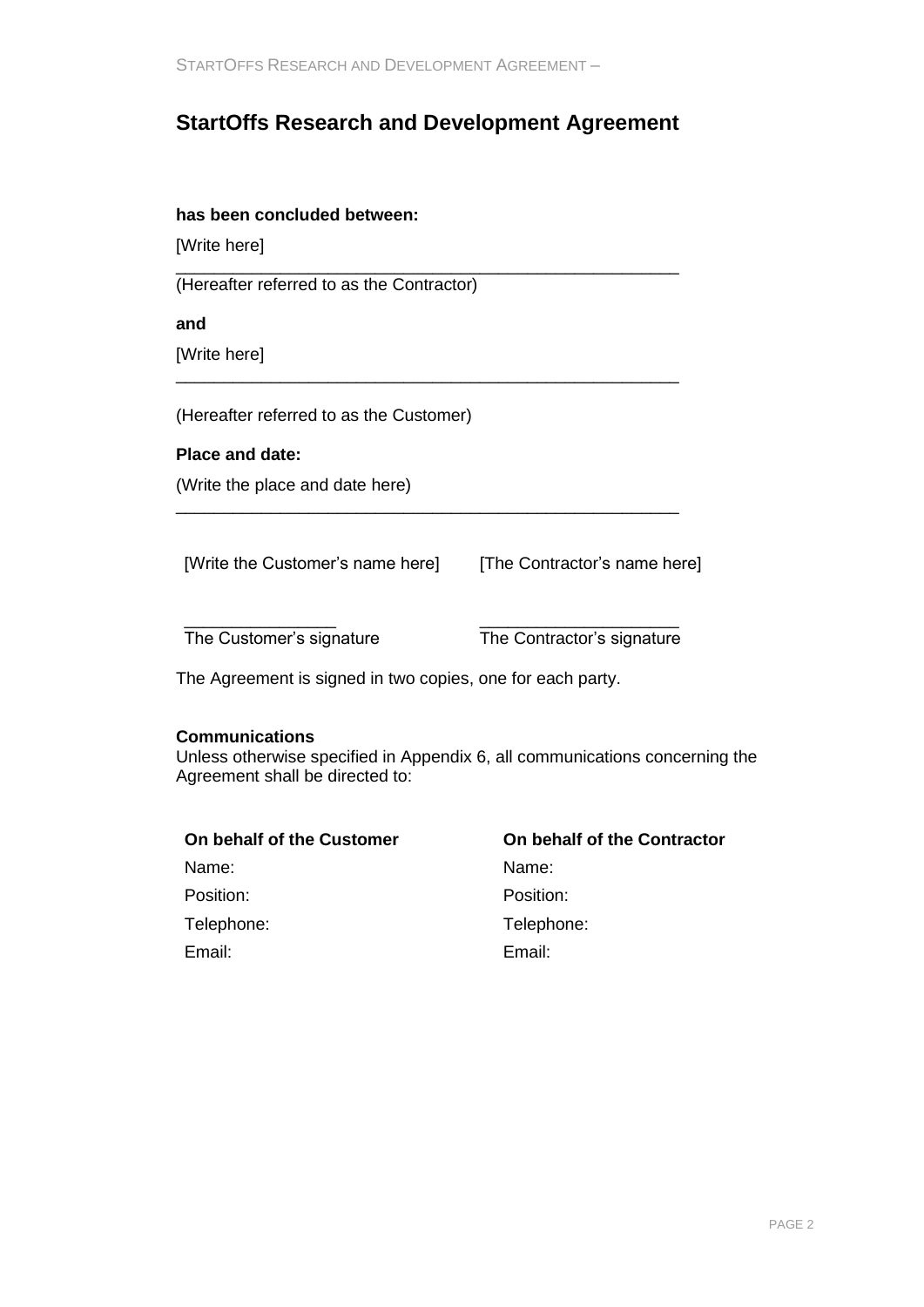# **StartOffs Research and Development Agreement**

\_\_\_\_\_\_\_\_\_\_\_\_\_\_\_\_\_\_\_\_\_\_\_\_\_\_\_\_\_\_\_\_\_\_\_\_\_\_\_\_\_\_\_\_\_\_\_\_\_\_\_\_\_

\_\_\_\_\_\_\_\_\_\_\_\_\_\_\_\_\_\_\_\_\_\_\_\_\_\_\_\_\_\_\_\_\_\_\_\_\_\_\_\_\_\_\_\_\_\_\_\_\_\_\_\_\_

\_\_\_\_\_\_\_\_\_\_\_\_\_\_\_\_\_\_\_\_\_\_\_\_\_\_\_\_\_\_\_\_\_\_\_\_\_\_\_\_\_\_\_\_\_\_\_\_\_\_\_\_\_

### **has been concluded between:**

[Write here]

(Hereafter referred to as the Contractor)

**and**

[Write here]

(Hereafter referred to as the Customer)

#### **Place and date:**

(Write the place and date here)

[Write the Customer's name here] [The Contractor's name here]

\_\_\_\_\_\_\_\_\_\_\_\_\_\_\_\_ The Customer's signature

\_\_\_\_\_\_\_\_\_\_\_\_\_\_\_\_\_\_\_\_\_ The Contractor's signature

The Agreement is signed in two copies, one for each party.

#### **Communications**

Unless otherwise specified in Appendix 6, all communications concerning the Agreement shall be directed to:

| On behalf of the Contractor |
|-----------------------------|
| Name:                       |
| Position:                   |
| Telephone:                  |
| Email:                      |
|                             |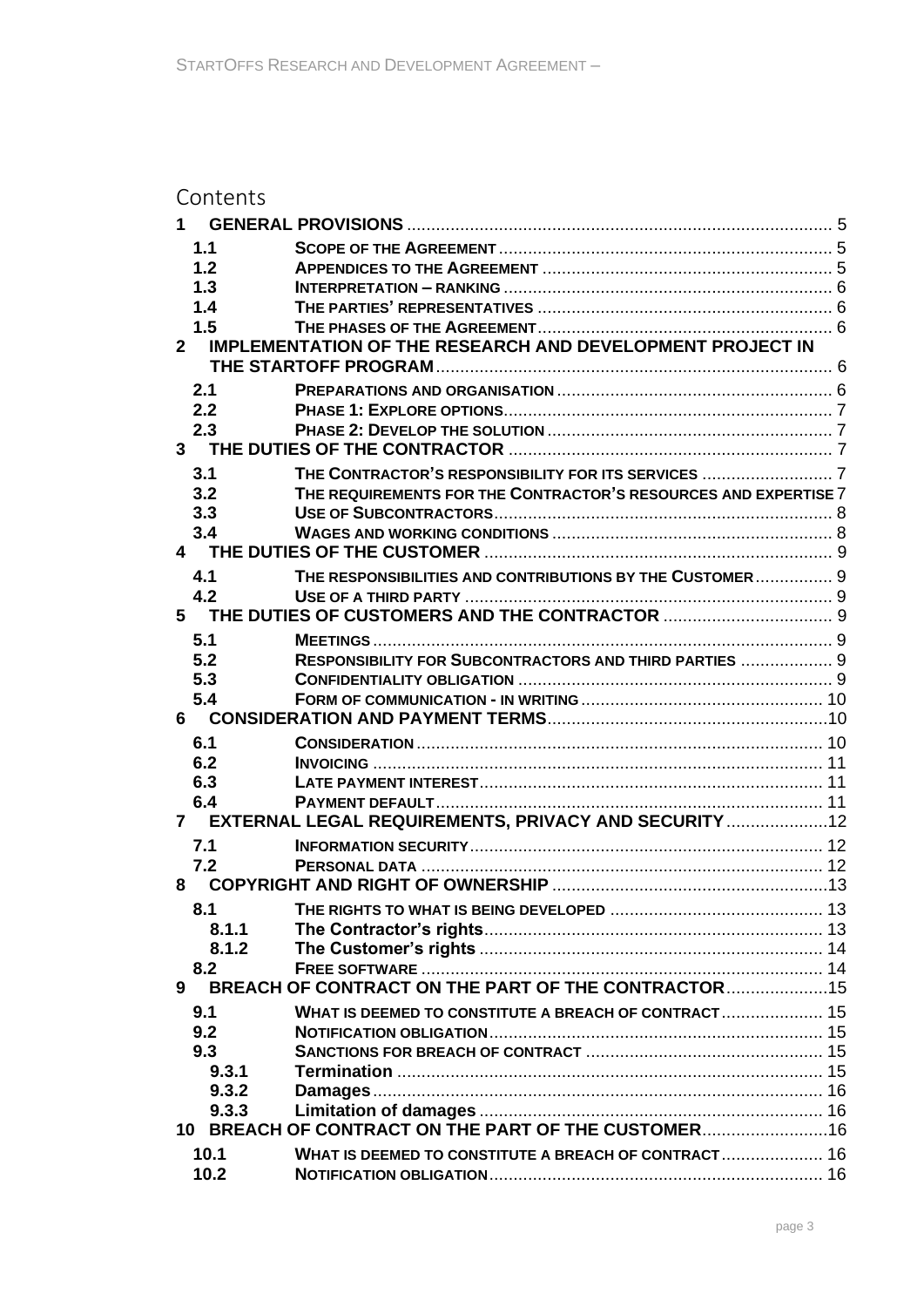# Contents

| $1 -$        |       |                                                                  |  |
|--------------|-------|------------------------------------------------------------------|--|
|              | 1.1   |                                                                  |  |
|              | 1.2   |                                                                  |  |
|              | 1.3   |                                                                  |  |
|              | 1.4   |                                                                  |  |
|              | 1.5   |                                                                  |  |
| $\mathbf{2}$ |       | <b>IMPLEMENTATION OF THE RESEARCH AND DEVELOPMENT PROJECT IN</b> |  |
|              |       |                                                                  |  |
|              | 2.1   |                                                                  |  |
|              | 2.2   |                                                                  |  |
|              | 2.3   |                                                                  |  |
|              |       |                                                                  |  |
|              | 3.1   |                                                                  |  |
|              | 3.2   | THE REQUIREMENTS FOR THE CONTRACTOR'S RESOURCES AND EXPERTISE 7  |  |
|              | 3.3   |                                                                  |  |
|              | 3.4   |                                                                  |  |
|              |       |                                                                  |  |
|              | 4.1   | THE RESPONSIBILITIES AND CONTRIBUTIONS BY THE CUSTOMER 9         |  |
|              | 4.2   |                                                                  |  |
|              |       |                                                                  |  |
|              | 5.1   |                                                                  |  |
|              | 5.2   | RESPONSIBILITY FOR SUBCONTRACTORS AND THIRD PARTIES  9           |  |
|              | 5.3   |                                                                  |  |
|              | 5.4   |                                                                  |  |
| 6            |       |                                                                  |  |
|              | 6.1   |                                                                  |  |
|              | 6.2   |                                                                  |  |
|              | 6.3   |                                                                  |  |
|              | 6.4   |                                                                  |  |
|              |       | 7 EXTERNAL LEGAL REQUIREMENTS, PRIVACY AND SECURITY  12          |  |
|              | 7.1   |                                                                  |  |
|              | 7.2   |                                                                  |  |
| 8            |       |                                                                  |  |
|              | 8.1   |                                                                  |  |
|              | 8.1.1 |                                                                  |  |
|              | 8.1.2 |                                                                  |  |
|              | 8.2   |                                                                  |  |
| 9            |       | BREACH OF CONTRACT ON THE PART OF THE CONTRACTOR                 |  |
|              | 9.1   | WHAT IS DEEMED TO CONSTITUTE A BREACH OF CONTRACT 15             |  |
|              | 9.2   |                                                                  |  |
|              | 9.3   |                                                                  |  |
|              | 9.3.1 |                                                                  |  |
|              | 9.3.2 |                                                                  |  |
|              | 9.3.3 |                                                                  |  |
|              |       | 10 BREACH OF CONTRACT ON THE PART OF THE CUSTOMER                |  |
|              | 10.1  | WHAT IS DEEMED TO CONSTITUTE A BREACH OF CONTRACT 16             |  |
|              | 10.2  |                                                                  |  |
|              |       |                                                                  |  |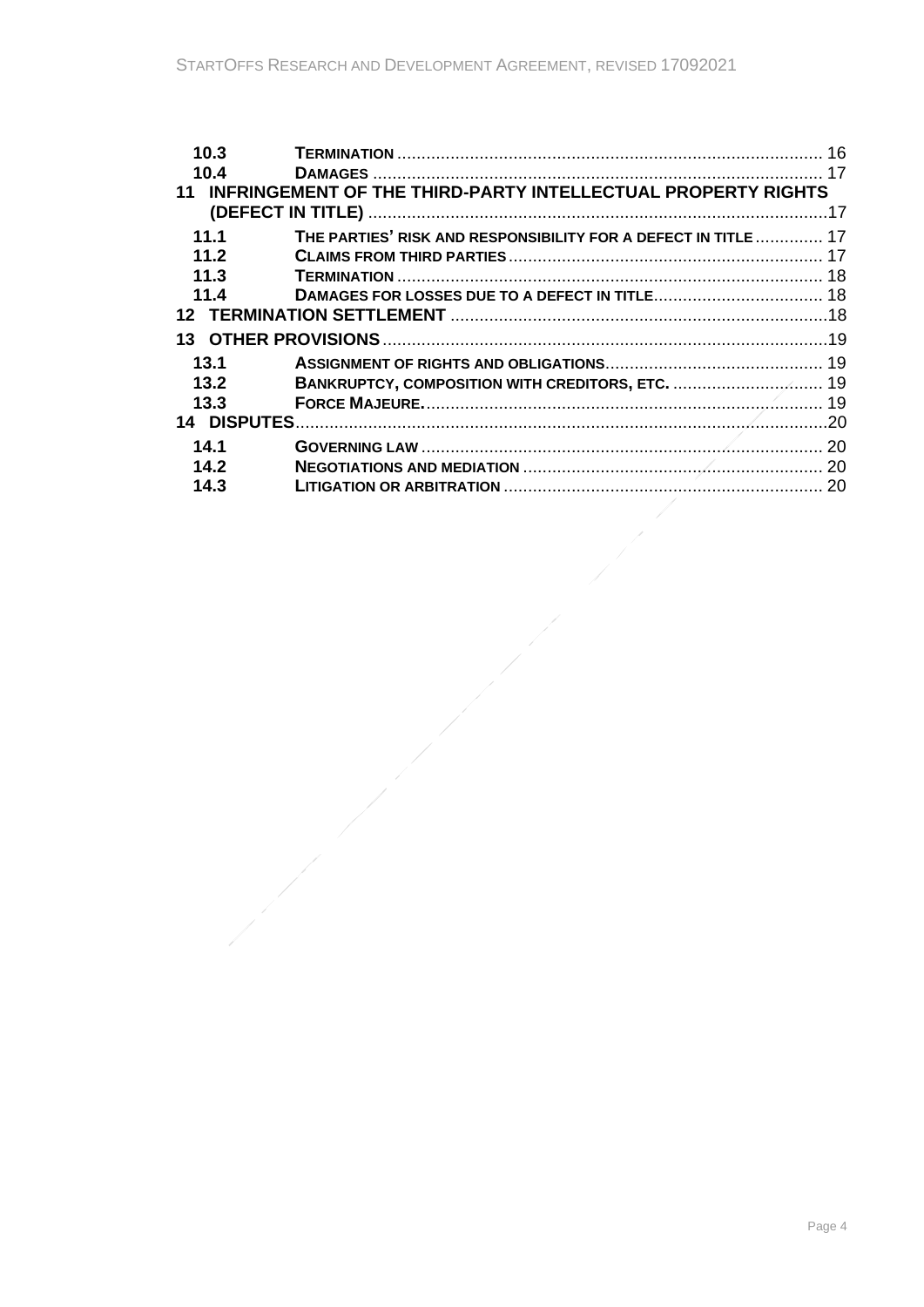$\frac{1}{\sqrt{2\pi}}$ 

| 10.3 |                                                                     |  |
|------|---------------------------------------------------------------------|--|
| 10.4 |                                                                     |  |
| 11   | <b>INFRINGEMENT OF THE THIRD-PARTY INTELLECTUAL PROPERTY RIGHTS</b> |  |
|      |                                                                     |  |
| 11.1 | THE PARTIES' RISK AND RESPONSIBILITY FOR A DEFECT IN TITLE 17       |  |
| 11.2 |                                                                     |  |
| 11.3 |                                                                     |  |
| 11.4 |                                                                     |  |
|      |                                                                     |  |
|      |                                                                     |  |
| 13.1 |                                                                     |  |
| 13.2 |                                                                     |  |
| 13.3 |                                                                     |  |
|      |                                                                     |  |
| 14.1 |                                                                     |  |
| 14.2 |                                                                     |  |
| 14.3 |                                                                     |  |
|      |                                                                     |  |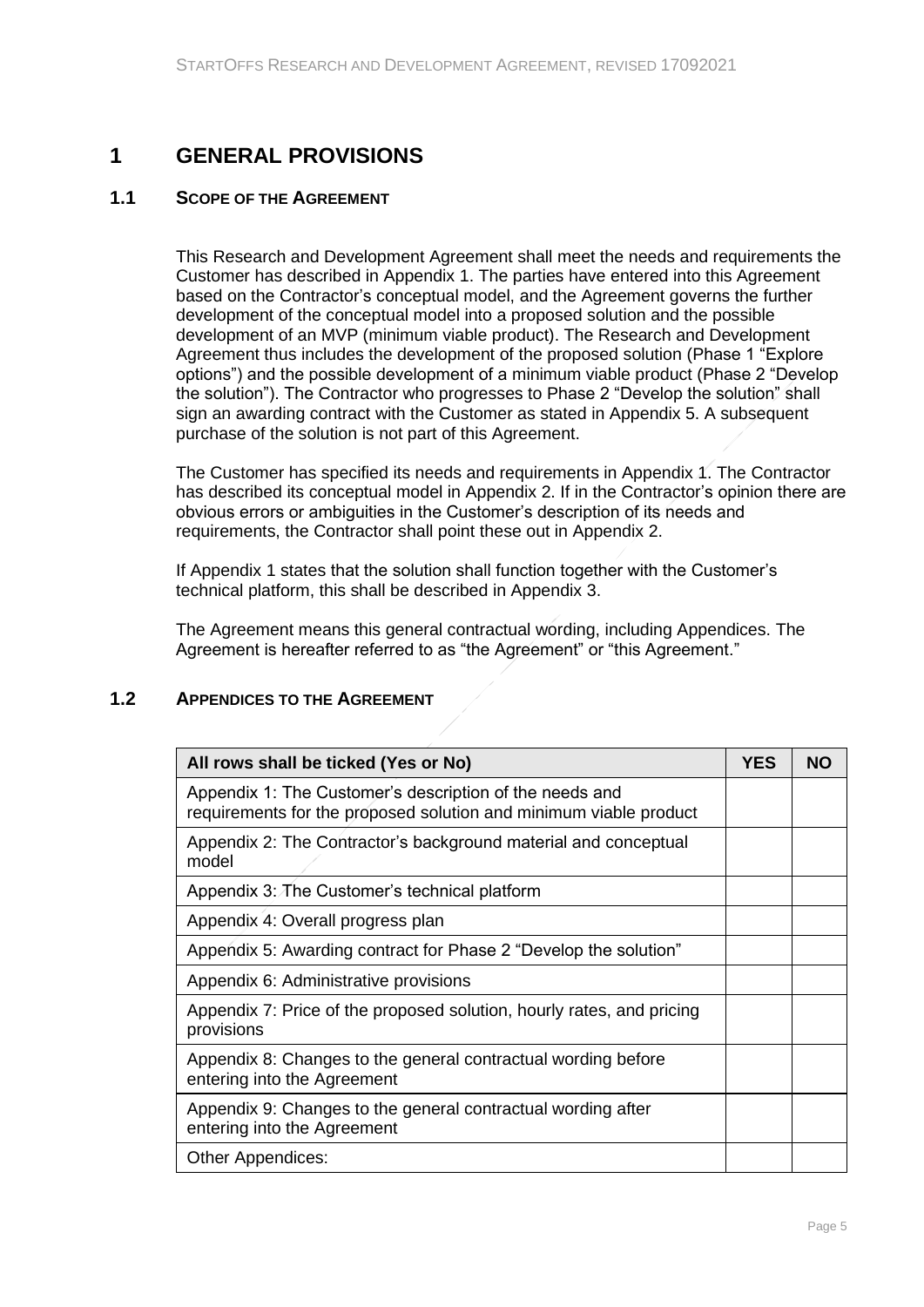# <span id="page-4-0"></span>**1 GENERAL PROVISIONS**

# **1.1 SCOPE OF THE AGREEMENT**

<span id="page-4-1"></span>This Research and Development Agreement shall meet the needs and requirements the Customer has described in Appendix 1. The parties have entered into this Agreement based on the Contractor's conceptual model, and the Agreement governs the further development of the conceptual model into a proposed solution and the possible development of an MVP (minimum viable product). The Research and Development Agreement thus includes the development of the proposed solution (Phase 1 "Explore options") and the possible development of a minimum viable product (Phase 2 "Develop the solution"). The Contractor who progresses to Phase 2 "Develop the solution" shall sign an awarding contract with the Customer as stated in Appendix 5. A subsequent purchase of the solution is not part of this Agreement.

The Customer has specified its needs and requirements in Appendix 1. The Contractor has described its conceptual model in Appendix 2. If in the Contractor's opinion there are obvious errors or ambiguities in the Customer's description of its needs and requirements, the Contractor shall point these out in Appendix 2.

If Appendix 1 states that the solution shall function together with the Customer's technical platform, this shall be described in Appendix 3.

<span id="page-4-2"></span>The Agreement means this general contractual wording, including Appendices. The Agreement is hereafter referred to as "the Agreement" or "this Agreement."

# **1.2 APPENDICES TO THE AGREEMENT**

| All rows shall be ticked (Yes or No)                                                                                         | <b>YES</b> | NΟ |
|------------------------------------------------------------------------------------------------------------------------------|------------|----|
| Appendix 1: The Customer's description of the needs and<br>requirements for the proposed solution and minimum viable product |            |    |
| Appendix 2: The Contractor's background material and conceptual<br>model                                                     |            |    |
| Appendix 3: The Customer's technical platform                                                                                |            |    |
| Appendix 4: Overall progress plan                                                                                            |            |    |
| Appendix 5: Awarding contract for Phase 2 "Develop the solution"                                                             |            |    |
| Appendix 6: Administrative provisions                                                                                        |            |    |
| Appendix 7: Price of the proposed solution, hourly rates, and pricing<br>provisions                                          |            |    |
| Appendix 8: Changes to the general contractual wording before<br>entering into the Agreement                                 |            |    |
| Appendix 9: Changes to the general contractual wording after<br>entering into the Agreement                                  |            |    |
| Other Appendices:                                                                                                            |            |    |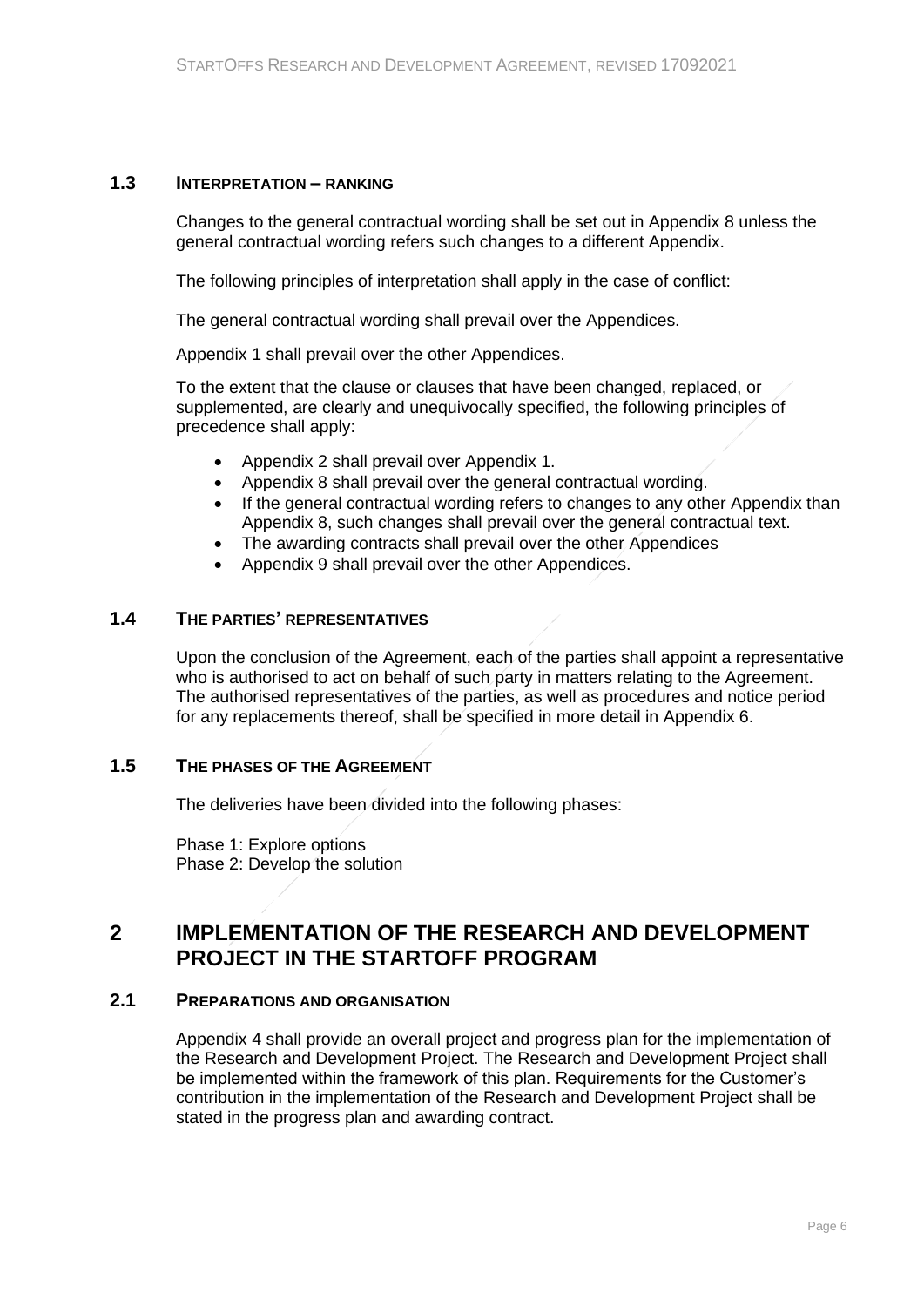### **1.3 INTERPRETATION – RANKING**

<span id="page-5-0"></span>Changes to the general contractual wording shall be set out in Appendix 8 unless the general contractual wording refers such changes to a different Appendix.

The following principles of interpretation shall apply in the case of conflict:

The general contractual wording shall prevail over the Appendices.

Appendix 1 shall prevail over the other Appendices.

To the extent that the clause or clauses that have been changed, replaced, or supplemented, are clearly and unequivocally specified, the following principles of precedence shall apply:

- Appendix 2 shall prevail over Appendix 1.
- Appendix 8 shall prevail over the general contractual wording.
- If the general contractual wording refers to changes to any other Appendix than Appendix 8, such changes shall prevail over the general contractual text.
- The awarding contracts shall prevail over the other Appendices
- Appendix 9 shall prevail over the other Appendices.

### **1.4 THE PARTIES' REPRESENTATIVES**

<span id="page-5-1"></span>Upon the conclusion of the Agreement, each of the parties shall appoint a representative who is authorised to act on behalf of such party in matters relating to the Agreement. The authorised representatives of the parties, as well as procedures and notice period for any replacements thereof, shall be specified in more detail in Appendix 6.

### **1.5 THE PHASES OF THE AGREEMENT**

<span id="page-5-2"></span>The deliveries have been divided into the following phases:

<span id="page-5-3"></span>Phase 1: Explore options Phase 2: Develop the solution

# **2 IMPLEMENTATION OF THE RESEARCH AND DEVELOPMENT PROJECT IN THE STARTOFF PROGRAM**

### **2.1 PREPARATIONS AND ORGANISATION**

<span id="page-5-4"></span>Appendix 4 shall provide an overall project and progress plan for the implementation of the Research and Development Project. The Research and Development Project shall be implemented within the framework of this plan. Requirements for the Customer's contribution in the implementation of the Research and Development Project shall be stated in the progress plan and awarding contract.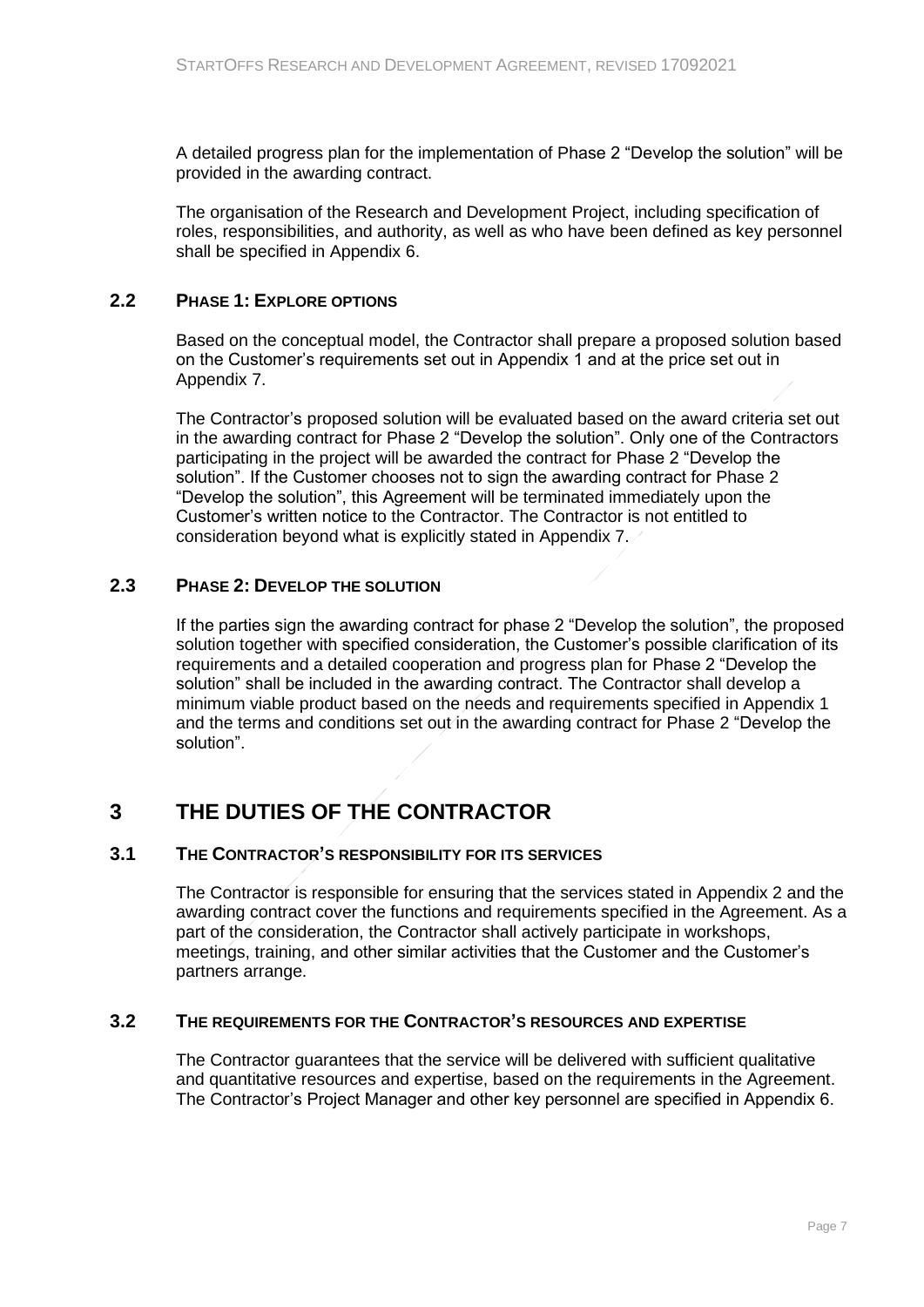A detailed progress plan for the implementation of Phase 2 "Develop the solution" will be provided in the awarding contract.

The organisation of the Research and Development Project, including specification of roles, responsibilities, and authority, as well as who have been defined as key personnel shall be specified in Appendix 6.

## **2.2 PHASE 1: EXPLORE OPTIONS**

<span id="page-6-0"></span>Based on the conceptual model, the Contractor shall prepare a proposed solution based on the Customer's requirements set out in Appendix 1 and at the price set out in Appendix 7.

The Contractor's proposed solution will be evaluated based on the award criteria set out in the awarding contract for Phase 2 "Develop the solution". Only one of the Contractors participating in the project will be awarded the contract for Phase 2 "Develop the solution". If the Customer chooses not to sign the awarding contract for Phase 2 "Develop the solution", this Agreement will be terminated immediately upon the Customer's written notice to the Contractor. The Contractor is not entitled to consideration beyond what is explicitly stated in Appendix 7.

# **2.3 PHASE 2: DEVELOP THE SOLUTION**

<span id="page-6-1"></span>If the parties sign the awarding contract for phase 2 "Develop the solution", the proposed solution together with specified consideration, the Customer's possible clarification of its requirements and a detailed cooperation and progress plan for Phase 2 "Develop the solution" shall be included in the awarding contract. The Contractor shall develop a minimum viable product based on the needs and requirements specified in Appendix 1 and the terms and conditions set out in the awarding contract for Phase 2 "Develop the solution".

# <span id="page-6-2"></span>**3 THE DUTIES OF THE CONTRACTOR**

### **3.1 THE CONTRACTOR'S RESPONSIBILITY FOR ITS SERVICES**

<span id="page-6-3"></span>The Contractor is responsible for ensuring that the services stated in Appendix 2 and the awarding contract cover the functions and requirements specified in the Agreement. As a part of the consideration, the Contractor shall actively participate in workshops, meetings, training, and other similar activities that the Customer and the Customer's partners arrange.

### **3.2 THE REQUIREMENTS FOR THE CONTRACTOR'S RESOURCES AND EXPERTISE**

<span id="page-6-4"></span>The Contractor guarantees that the service will be delivered with sufficient qualitative and quantitative resources and expertise, based on the requirements in the Agreement. The Contractor's Project Manager and other key personnel are specified in Appendix 6.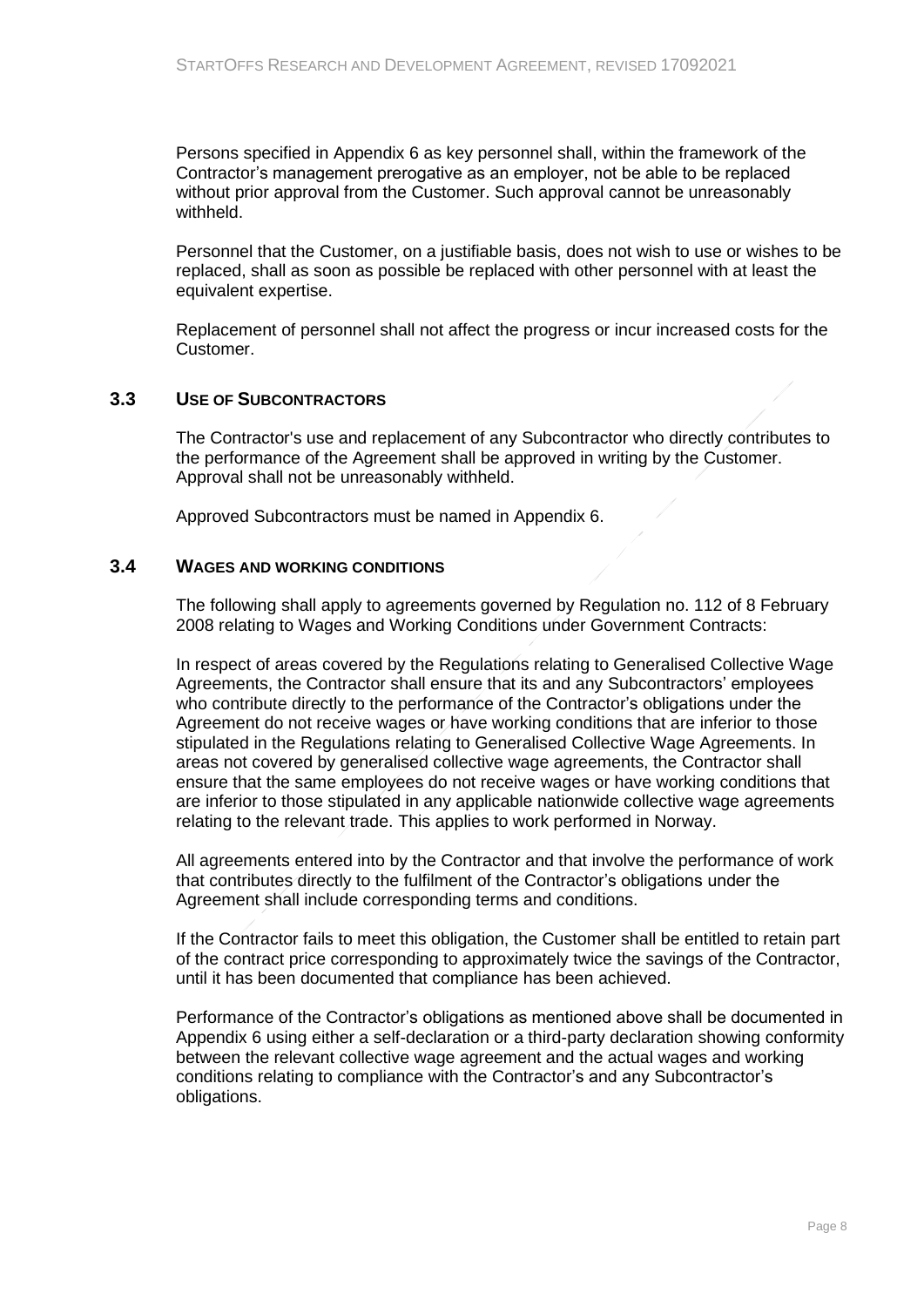Persons specified in Appendix 6 as key personnel shall, within the framework of the Contractor's management prerogative as an employer, not be able to be replaced without prior approval from the Customer. Such approval cannot be unreasonably withheld.

Personnel that the Customer, on a justifiable basis, does not wish to use or wishes to be replaced, shall as soon as possible be replaced with other personnel with at least the equivalent expertise.

Replacement of personnel shall not affect the progress or incur increased costs for the Customer.

## **3.3 USE OF SUBCONTRACTORS**

<span id="page-7-0"></span>The Contractor's use and replacement of any Subcontractor who directly contributes to the performance of the Agreement shall be approved in writing by the Customer. Approval shall not be unreasonably withheld.

<span id="page-7-1"></span>Approved Subcontractors must be named in Appendix 6.

### **3.4 WAGES AND WORKING CONDITIONS**

The following shall apply to agreements governed by Regulation no. 112 of 8 February 2008 relating to Wages and Working Conditions under Government Contracts:

In respect of areas covered by the Regulations relating to Generalised Collective Wage Agreements, the Contractor shall ensure that its and any Subcontractors' employees who contribute directly to the performance of the Contractor's obligations under the Agreement do not receive wages or have working conditions that are inferior to those stipulated in the Regulations relating to Generalised Collective Wage Agreements. In areas not covered by generalised collective wage agreements, the Contractor shall ensure that the same employees do not receive wages or have working conditions that are inferior to those stipulated in any applicable nationwide collective wage agreements relating to the relevant trade. This applies to work performed in Norway.

All agreements entered into by the Contractor and that involve the performance of work that contributes directly to the fulfilment of the Contractor's obligations under the Agreement shall include corresponding terms and conditions.

If the Contractor fails to meet this obligation, the Customer shall be entitled to retain part of the contract price corresponding to approximately twice the savings of the Contractor, until it has been documented that compliance has been achieved.

Performance of the Contractor's obligations as mentioned above shall be documented in Appendix 6 using either a self-declaration or a third-party declaration showing conformity between the relevant collective wage agreement and the actual wages and working conditions relating to compliance with the Contractor's and any Subcontractor's obligations.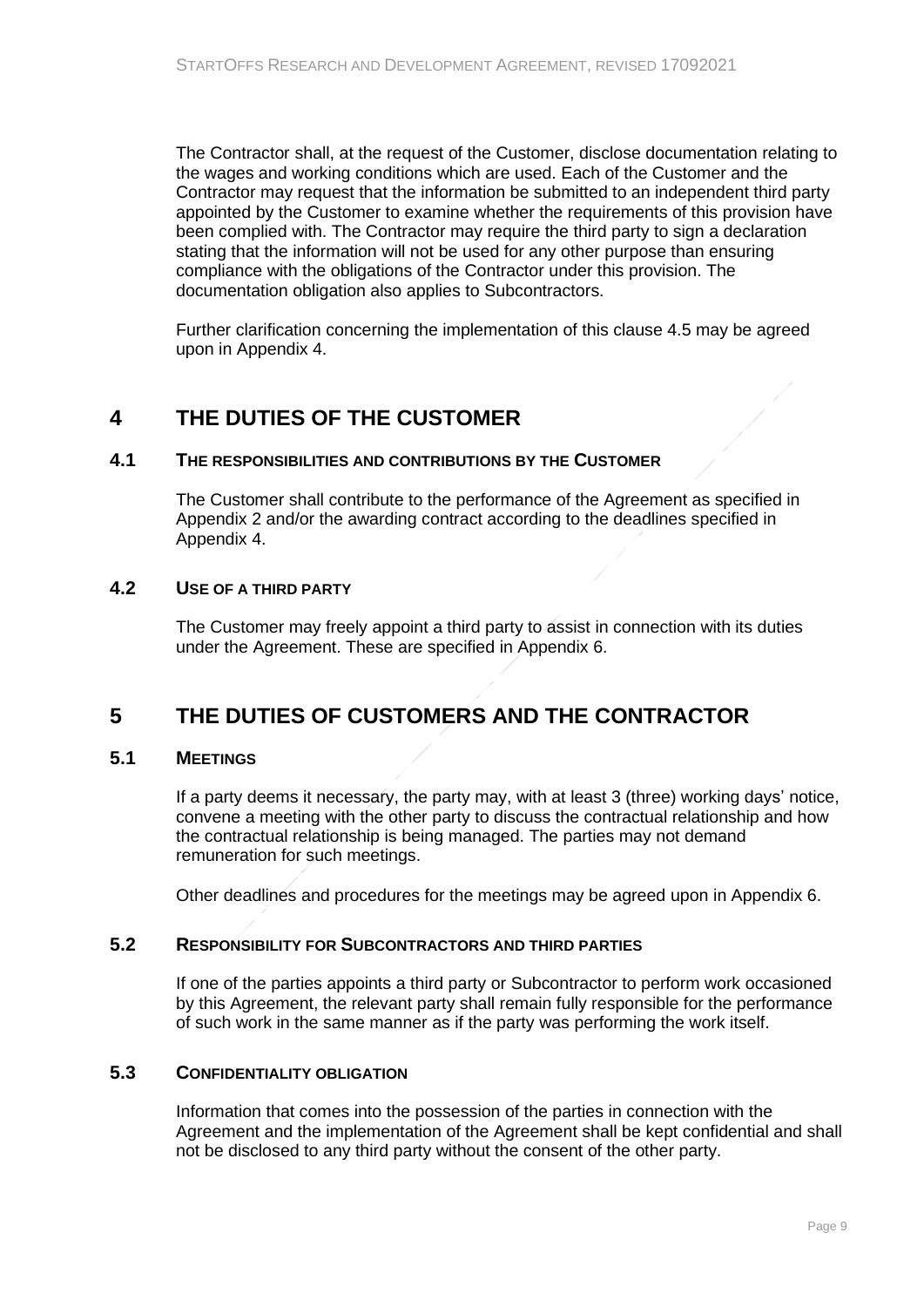The Contractor shall, at the request of the Customer, disclose documentation relating to the wages and working conditions which are used. Each of the Customer and the Contractor may request that the information be submitted to an independent third party appointed by the Customer to examine whether the requirements of this provision have been complied with. The Contractor may require the third party to sign a declaration stating that the information will not be used for any other purpose than ensuring compliance with the obligations of the Contractor under this provision. The documentation obligation also applies to Subcontractors.

<span id="page-8-0"></span>Further clarification concerning the implementation of this clause 4.5 may be agreed upon in Appendix 4.

# **4 THE DUTIES OF THE CUSTOMER**

### **4.1 THE RESPONSIBILITIES AND CONTRIBUTIONS BY THE CUSTOMER**

<span id="page-8-1"></span>The Customer shall contribute to the performance of the Agreement as specified in Appendix 2 and/or the awarding contract according to the deadlines specified in Appendix 4.

### **4.2 USE OF A THIRD PARTY**

<span id="page-8-3"></span><span id="page-8-2"></span>The Customer may freely appoint a third party to assist in connection with its duties under the Agreement. These are specified in Appendix 6.

# **5 THE DUTIES OF CUSTOMERS AND THE CONTRACTOR**

### **5.1 MEETINGS**

<span id="page-8-4"></span>If a party deems it necessary, the party may, with at least 3 (three) working days' notice, convene a meeting with the other party to discuss the contractual relationship and how the contractual relationship is being managed. The parties may not demand remuneration for such meetings.

<span id="page-8-5"></span>Other deadlines and procedures for the meetings may be agreed upon in Appendix 6.

### **5.2 RESPONSIBILITY FOR SUBCONTRACTORS AND THIRD PARTIES**

If one of the parties appoints a third party or Subcontractor to perform work occasioned by this Agreement, the relevant party shall remain fully responsible for the performance of such work in the same manner as if the party was performing the work itself.

### **5.3 CONFIDENTIALITY OBLIGATION**

<span id="page-8-6"></span>Information that comes into the possession of the parties in connection with the Agreement and the implementation of the Agreement shall be kept confidential and shall not be disclosed to any third party without the consent of the other party.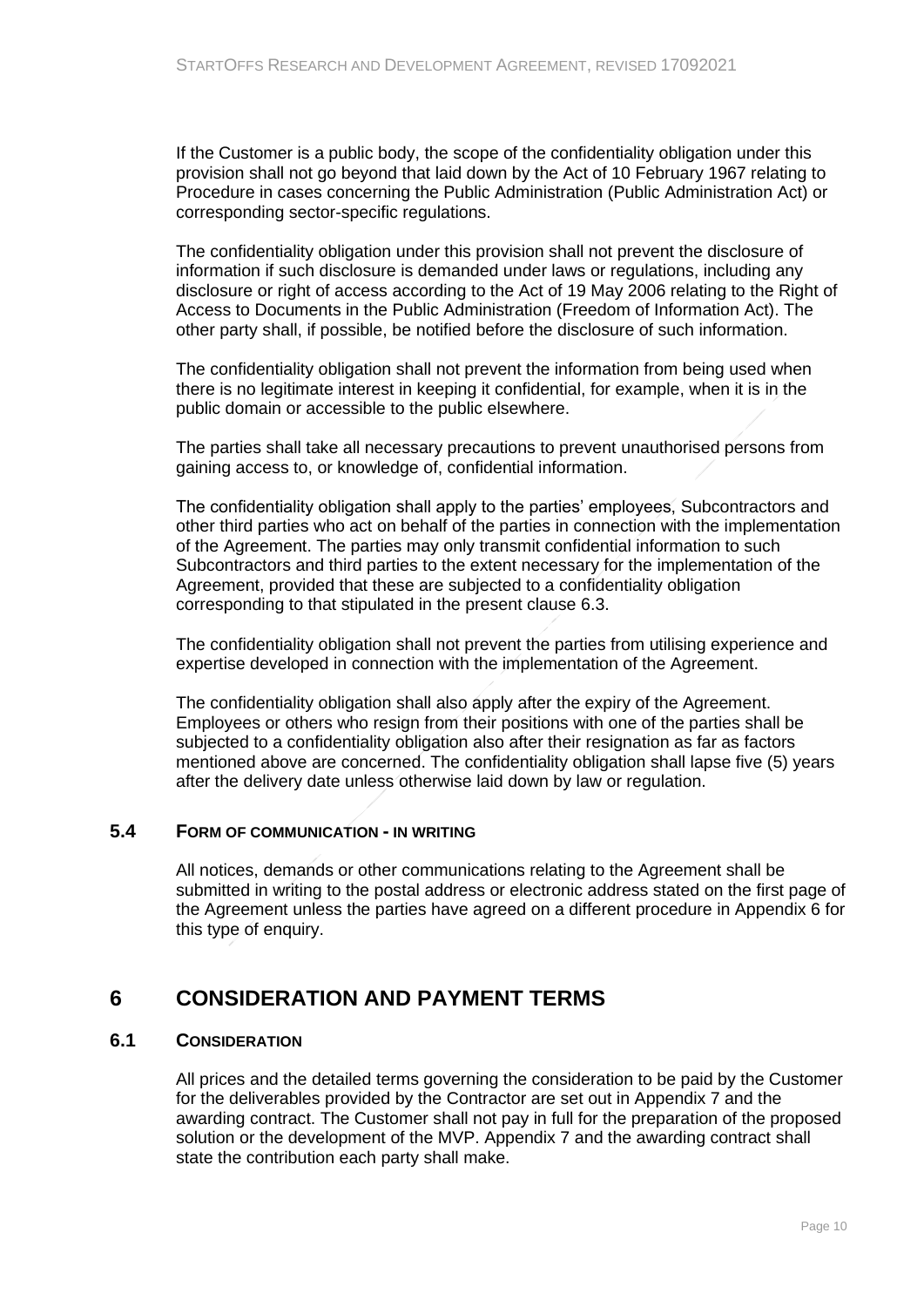If the Customer is a public body, the scope of the confidentiality obligation under this provision shall not go beyond that laid down by the Act of 10 February 1967 relating to Procedure in cases concerning the Public Administration (Public Administration Act) or corresponding sector-specific regulations.

The confidentiality obligation under this provision shall not prevent the disclosure of information if such disclosure is demanded under laws or regulations, including any disclosure or right of access according to the Act of 19 May 2006 relating to the Right of Access to Documents in the Public Administration (Freedom of Information Act). The other party shall, if possible, be notified before the disclosure of such information.

The confidentiality obligation shall not prevent the information from being used when there is no legitimate interest in keeping it confidential, for example, when it is in the public domain or accessible to the public elsewhere.

The parties shall take all necessary precautions to prevent unauthorised persons from gaining access to, or knowledge of, confidential information.

The confidentiality obligation shall apply to the parties' employees, Subcontractors and other third parties who act on behalf of the parties in connection with the implementation of the Agreement. The parties may only transmit confidential information to such Subcontractors and third parties to the extent necessary for the implementation of the Agreement, provided that these are subjected to a confidentiality obligation corresponding to that stipulated in the present clause 6.3.

The confidentiality obligation shall not prevent the parties from utilising experience and expertise developed in connection with the implementation of the Agreement.

The confidentiality obligation shall also apply after the expiry of the Agreement. Employees or others who resign from their positions with one of the parties shall be subjected to a confidentiality obligation also after their resignation as far as factors mentioned above are concerned. The confidentiality obligation shall lapse five (5) years after the delivery date unless otherwise laid down by law or regulation.

### **5.4 FORM OF COMMUNICATION - IN WRITING**

<span id="page-9-1"></span><span id="page-9-0"></span>All notices, demands or other communications relating to the Agreement shall be submitted in writing to the postal address or electronic address stated on the first page of the Agreement unless the parties have agreed on a different procedure in Appendix 6 for this type of enquiry.

# **6 CONSIDERATION AND PAYMENT TERMS**

### **6.1 CONSIDERATION**

<span id="page-9-2"></span>All prices and the detailed terms governing the consideration to be paid by the Customer for the deliverables provided by the Contractor are set out in Appendix 7 and the awarding contract. The Customer shall not pay in full for the preparation of the proposed solution or the development of the MVP. Appendix 7 and the awarding contract shall state the contribution each party shall make.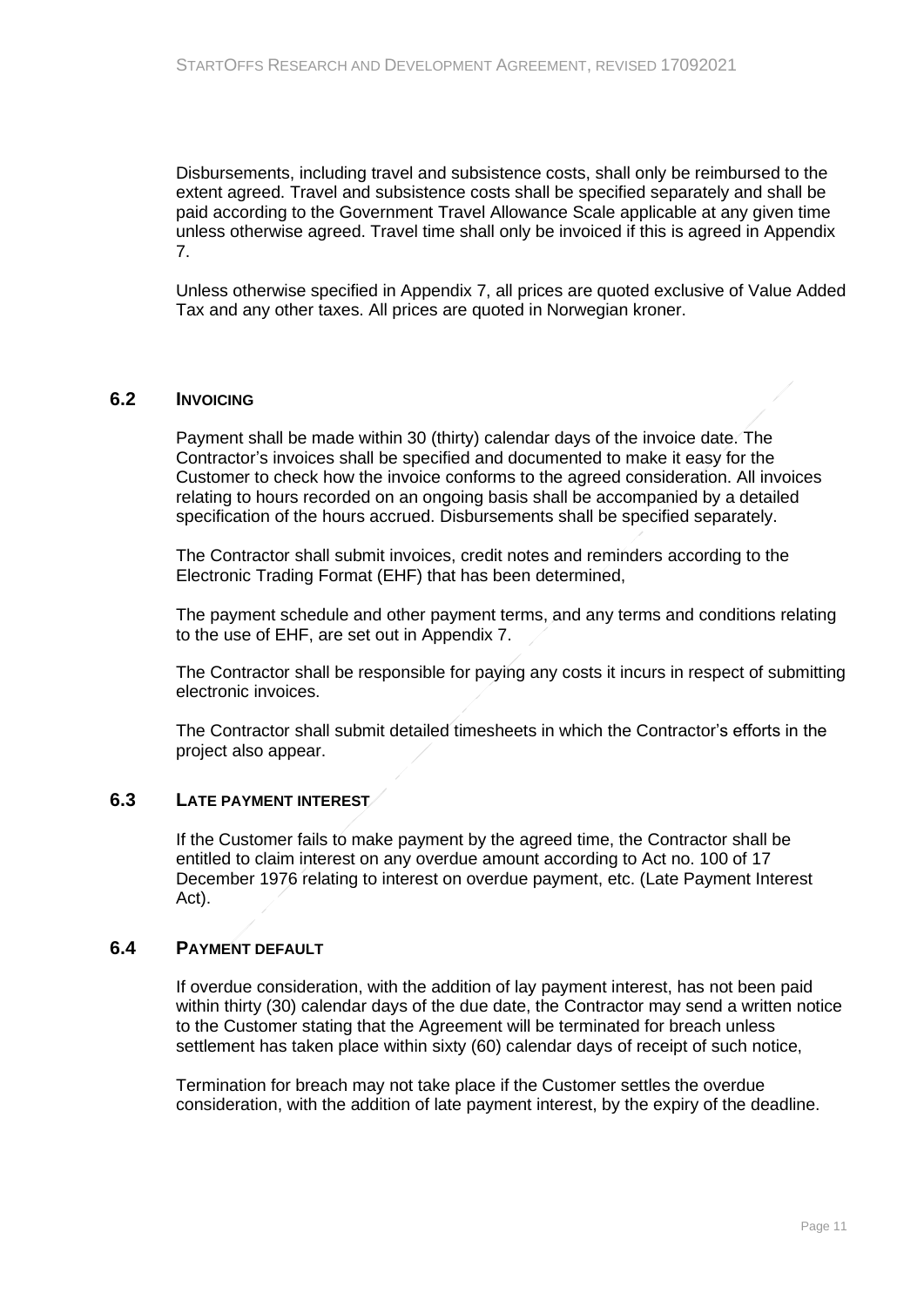Disbursements, including travel and subsistence costs, shall only be reimbursed to the extent agreed. Travel and subsistence costs shall be specified separately and shall be paid according to the Government Travel Allowance Scale applicable at any given time unless otherwise agreed. Travel time shall only be invoiced if this is agreed in Appendix 7.

Unless otherwise specified in Appendix 7, all prices are quoted exclusive of Value Added Tax and any other taxes. All prices are quoted in Norwegian kroner.

### **6.2 INVOICING**

<span id="page-10-0"></span>Payment shall be made within 30 (thirty) calendar days of the invoice date. The Contractor's invoices shall be specified and documented to make it easy for the Customer to check how the invoice conforms to the agreed consideration. All invoices relating to hours recorded on an ongoing basis shall be accompanied by a detailed specification of the hours accrued. Disbursements shall be specified separately.

The Contractor shall submit invoices, credit notes and reminders according to the Electronic Trading Format (EHF) that has been determined,

The payment schedule and other payment terms, and any terms and conditions relating to the use of EHF, are set out in Appendix 7.

The Contractor shall be responsible for paying any costs it incurs in respect of submitting electronic invoices.

The Contractor shall submit detailed timesheets in which the Contractor's efforts in the project also appear.

### **6.3 LATE PAYMENT INTEREST**

<span id="page-10-1"></span>If the Customer fails to make payment by the agreed time, the Contractor shall be entitled to claim interest on any overdue amount according to Act no. 100 of 17 December 1976 relating to interest on overdue payment, etc. (Late Payment Interest Act).

### **6.4 PAYMENT DEFAULT**

<span id="page-10-2"></span>If overdue consideration, with the addition of lay payment interest, has not been paid within thirty (30) calendar days of the due date, the Contractor may send a written notice to the Customer stating that the Agreement will be terminated for breach unless settlement has taken place within sixty (60) calendar days of receipt of such notice,

Termination for breach may not take place if the Customer settles the overdue consideration, with the addition of late payment interest, by the expiry of the deadline.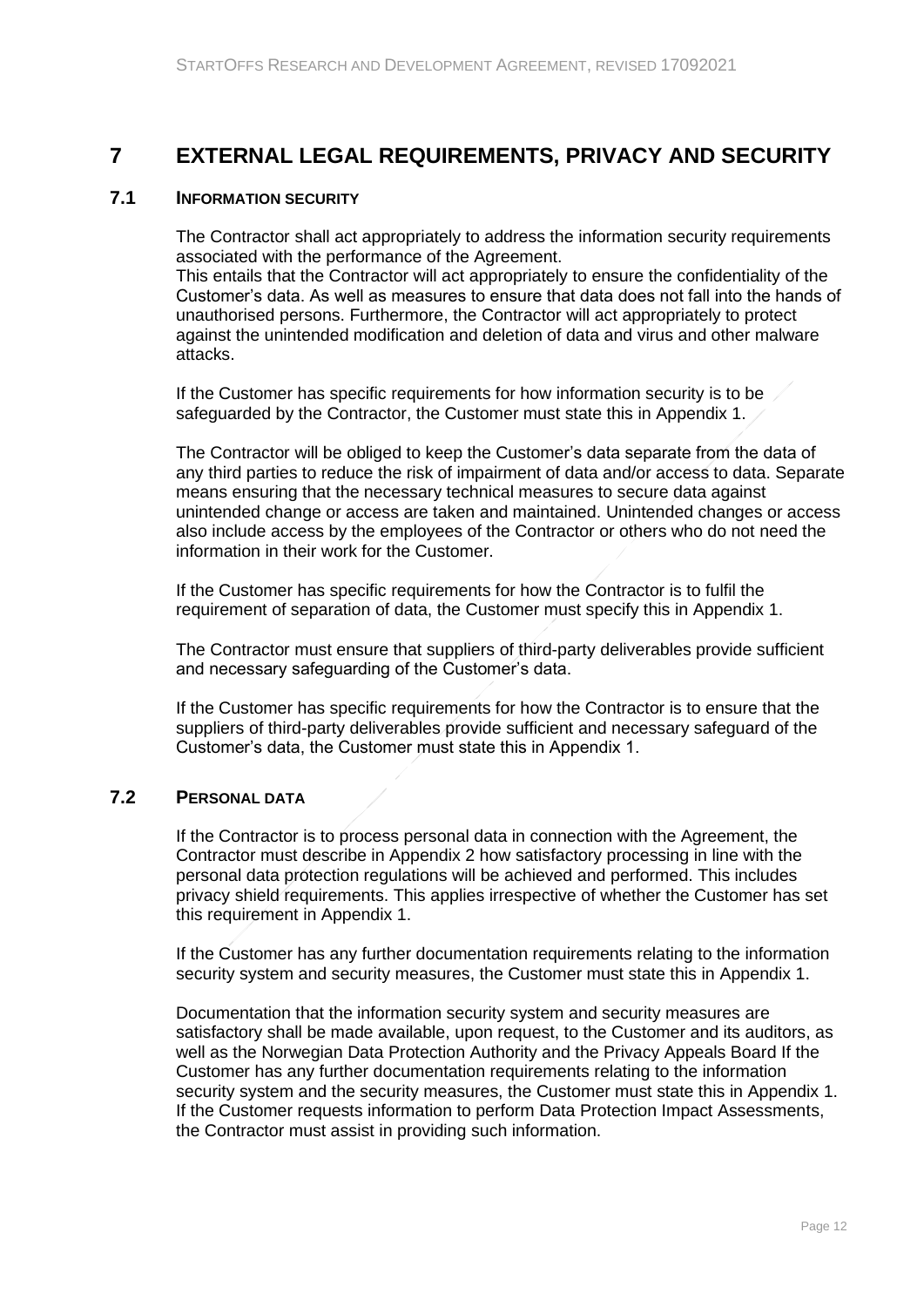# <span id="page-11-0"></span>**7 EXTERNAL LEGAL REQUIREMENTS, PRIVACY AND SECURITY**

### **7.1 INFORMATION SECURITY**

<span id="page-11-1"></span>The Contractor shall act appropriately to address the information security requirements associated with the performance of the Agreement.

This entails that the Contractor will act appropriately to ensure the confidentiality of the Customer's data. As well as measures to ensure that data does not fall into the hands of unauthorised persons. Furthermore, the Contractor will act appropriately to protect against the unintended modification and deletion of data and virus and other malware attacks.

If the Customer has specific requirements for how information security is to be safeguarded by the Contractor, the Customer must state this in Appendix 1.

The Contractor will be obliged to keep the Customer's data separate from the data of any third parties to reduce the risk of impairment of data and/or access to data. Separate means ensuring that the necessary technical measures to secure data against unintended change or access are taken and maintained. Unintended changes or access also include access by the employees of the Contractor or others who do not need the information in their work for the Customer.

If the Customer has specific requirements for how the Contractor is to fulfil the requirement of separation of data, the Customer must specify this in Appendix 1.

The Contractor must ensure that suppliers of third-party deliverables provide sufficient and necessary safeguarding of the Customer's data.

If the Customer has specific requirements for how the Contractor is to ensure that the suppliers of third-party deliverables provide sufficient and necessary safeguard of the Customer's data, the Customer must state this in Appendix 1.

## **7.2 PERSONAL DATA**

<span id="page-11-2"></span>If the Contractor is to process personal data in connection with the Agreement, the Contractor must describe in Appendix 2 how satisfactory processing in line with the personal data protection regulations will be achieved and performed. This includes privacy shield requirements. This applies irrespective of whether the Customer has set this requirement in Appendix 1.

If the Customer has any further documentation requirements relating to the information security system and security measures, the Customer must state this in Appendix 1.

Documentation that the information security system and security measures are satisfactory shall be made available, upon request, to the Customer and its auditors, as well as the Norwegian Data Protection Authority and the Privacy Appeals Board If the Customer has any further documentation requirements relating to the information security system and the security measures, the Customer must state this in Appendix 1. If the Customer requests information to perform Data Protection Impact Assessments, the Contractor must assist in providing such information.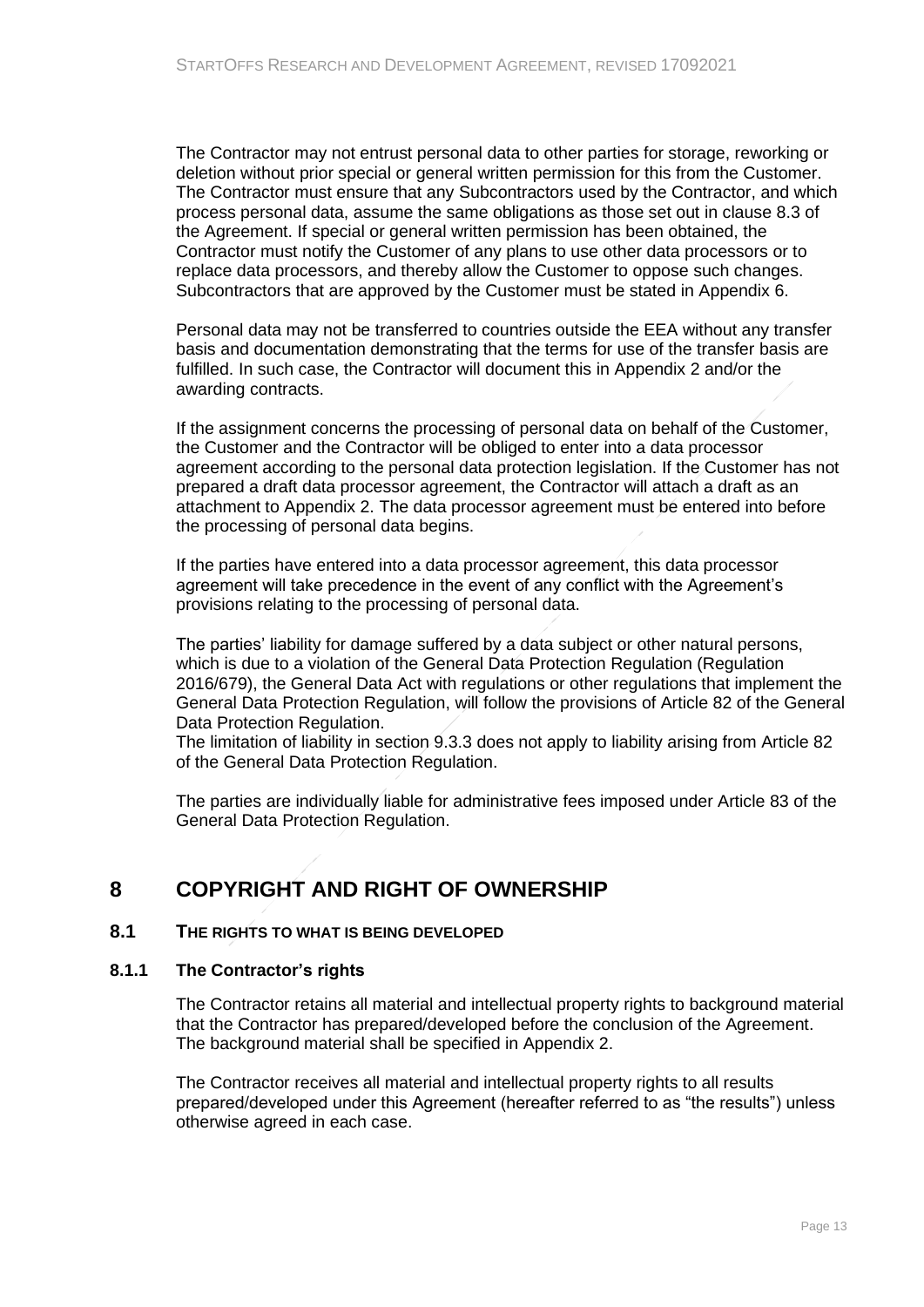The Contractor may not entrust personal data to other parties for storage, reworking or deletion without prior special or general written permission for this from the Customer. The Contractor must ensure that any Subcontractors used by the Contractor, and which process personal data, assume the same obligations as those set out in clause 8.3 of the Agreement. If special or general written permission has been obtained, the Contractor must notify the Customer of any plans to use other data processors or to replace data processors, and thereby allow the Customer to oppose such changes. Subcontractors that are approved by the Customer must be stated in Appendix 6.

Personal data may not be transferred to countries outside the EEA without any transfer basis and documentation demonstrating that the terms for use of the transfer basis are fulfilled. In such case, the Contractor will document this in Appendix 2 and/or the awarding contracts.

If the assignment concerns the processing of personal data on behalf of the Customer, the Customer and the Contractor will be obliged to enter into a data processor agreement according to the personal data protection legislation. If the Customer has not prepared a draft data processor agreement, the Contractor will attach a draft as an attachment to Appendix 2. The data processor agreement must be entered into before the processing of personal data begins.

If the parties have entered into a data processor agreement, this data processor agreement will take precedence in the event of any conflict with the Agreement's provisions relating to the processing of personal data.

The parties' liability for damage suffered by a data subject or other natural persons, which is due to a violation of the General Data Protection Regulation (Regulation 2016/679), the General Data Act with regulations or other regulations that implement the General Data Protection Regulation, will follow the provisions of Article 82 of the General Data Protection Regulation.

The limitation of liability in section 9.3.3 does not apply to liability arising from Article 82 of the General Data Protection Regulation.

<span id="page-12-0"></span>The parties are individually liable for administrative fees imposed under Article 83 of the General Data Protection Regulation.

# **8 COPYRIGHT AND RIGHT OF OWNERSHIP**

### <span id="page-12-1"></span>**8.1 THE RIGHTS TO WHAT IS BEING DEVELOPED**

### **8.1.1 The Contractor's rights**

<span id="page-12-2"></span>The Contractor retains all material and intellectual property rights to background material that the Contractor has prepared/developed before the conclusion of the Agreement. The background material shall be specified in Appendix 2.

The Contractor receives all material and intellectual property rights to all results prepared/developed under this Agreement (hereafter referred to as "the results") unless otherwise agreed in each case.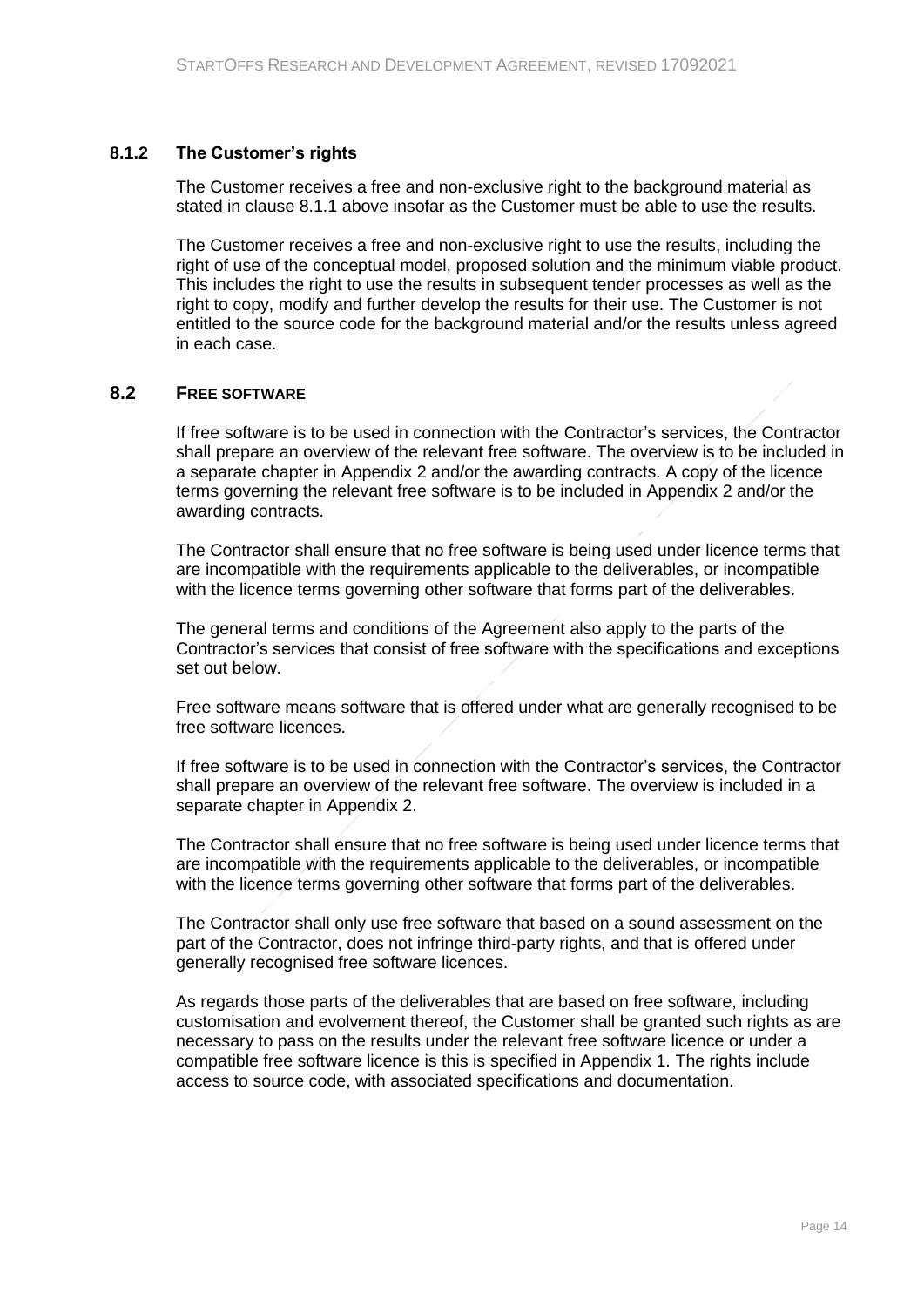#### **8.1.2 The Customer's rights**

<span id="page-13-0"></span>The Customer receives a free and non-exclusive right to the background material as stated in clause 8.1.1 above insofar as the Customer must be able to use the results.

The Customer receives a free and non-exclusive right to use the results, including the right of use of the conceptual model, proposed solution and the minimum viable product. This includes the right to use the results in subsequent tender processes as well as the right to copy, modify and further develop the results for their use. The Customer is not entitled to the source code for the background material and/or the results unless agreed in each case.

#### **8.2 FREE SOFTWARE**

<span id="page-13-1"></span>If free software is to be used in connection with the Contractor's services, the Contractor shall prepare an overview of the relevant free software. The overview is to be included in a separate chapter in Appendix 2 and/or the awarding contracts. A copy of the licence terms governing the relevant free software is to be included in Appendix 2 and/or the awarding contracts.

The Contractor shall ensure that no free software is being used under licence terms that are incompatible with the requirements applicable to the deliverables, or incompatible with the licence terms governing other software that forms part of the deliverables.

The general terms and conditions of the Agreement also apply to the parts of the Contractor's services that consist of free software with the specifications and exceptions set out below.

Free software means software that is offered under what are generally recognised to be free software licences.

If free software is to be used in connection with the Contractor's services, the Contractor shall prepare an overview of the relevant free software. The overview is included in a separate chapter in Appendix 2.

The Contractor shall ensure that no free software is being used under licence terms that are incompatible with the requirements applicable to the deliverables, or incompatible with the licence terms governing other software that forms part of the deliverables.

The Contractor shall only use free software that based on a sound assessment on the part of the Contractor, does not infringe third-party rights, and that is offered under generally recognised free software licences.

As regards those parts of the deliverables that are based on free software, including customisation and evolvement thereof, the Customer shall be granted such rights as are necessary to pass on the results under the relevant free software licence or under a compatible free software licence is this is specified in Appendix 1. The rights include access to source code, with associated specifications and documentation.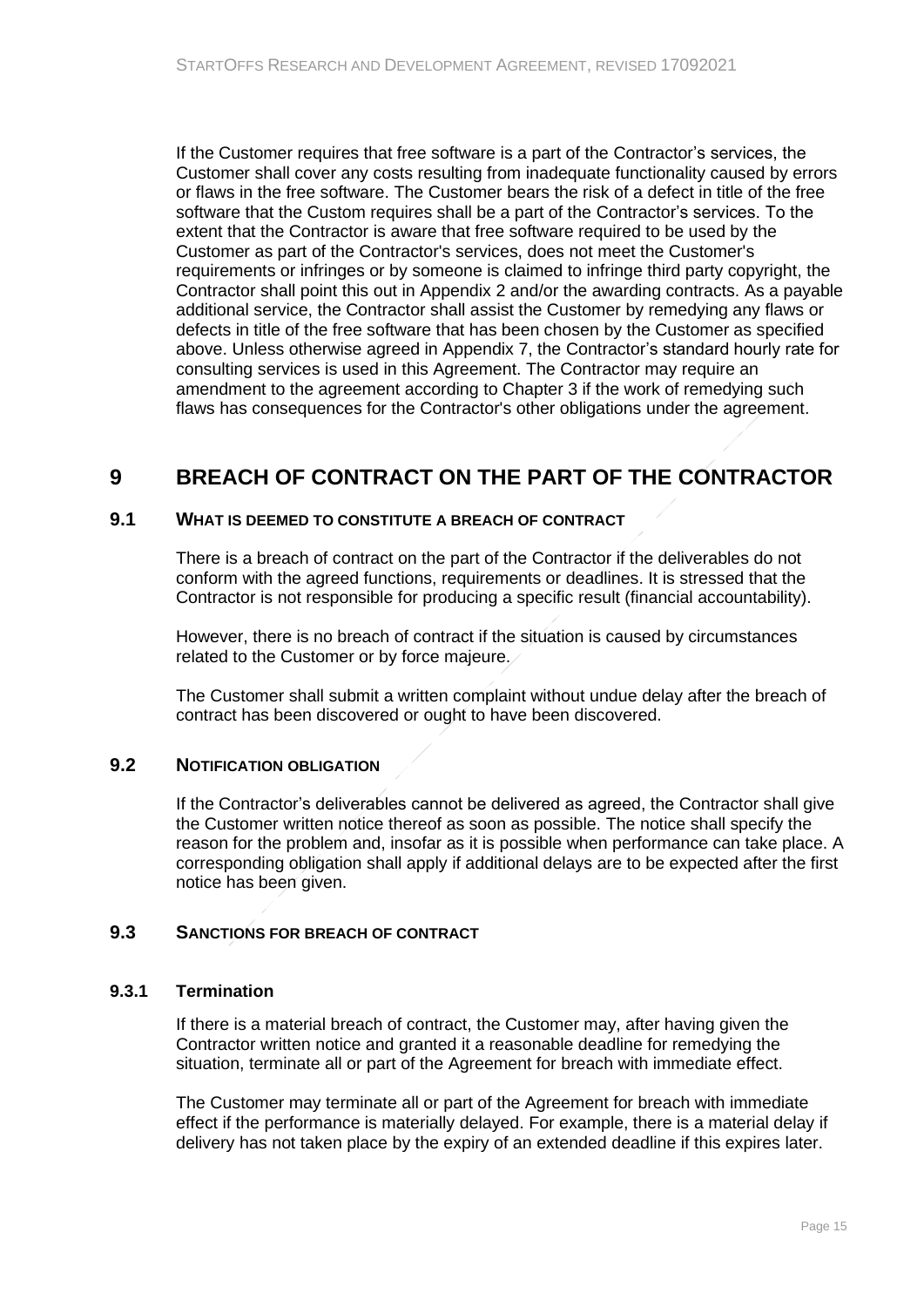If the Customer requires that free software is a part of the Contractor's services, the Customer shall cover any costs resulting from inadequate functionality caused by errors or flaws in the free software. The Customer bears the risk of a defect in title of the free software that the Custom requires shall be a part of the Contractor's services. To the extent that the Contractor is aware that free software required to be used by the Customer as part of the Contractor's services, does not meet the Customer's requirements or infringes or by someone is claimed to infringe third party copyright, the Contractor shall point this out in Appendix 2 and/or the awarding contracts. As a payable additional service, the Contractor shall assist the Customer by remedying any flaws or defects in title of the free software that has been chosen by the Customer as specified above. Unless otherwise agreed in Appendix 7, the Contractor's standard hourly rate for consulting services is used in this Agreement. The Contractor may require an amendment to the agreement according to Chapter 3 if the work of remedying such flaws has consequences for the Contractor's other obligations under the agreement.

# <span id="page-14-0"></span>**9 BREACH OF CONTRACT ON THE PART OF THE CONTRACTOR**

### **9.1 WHAT IS DEEMED TO CONSTITUTE A BREACH OF CONTRACT**

<span id="page-14-1"></span>There is a breach of contract on the part of the Contractor if the deliverables do not conform with the agreed functions, requirements or deadlines. It is stressed that the Contractor is not responsible for producing a specific result (financial accountability).

However, there is no breach of contract if the situation is caused by circumstances related to the Customer or by force majeure.

The Customer shall submit a written complaint without undue delay after the breach of contract has been discovered or ought to have been discovered.

### **9.2 NOTIFICATION OBLIGATION**

<span id="page-14-2"></span>If the Contractor's deliverables cannot be delivered as agreed, the Contractor shall give the Customer written notice thereof as soon as possible. The notice shall specify the reason for the problem and, insofar as it is possible when performance can take place. A corresponding obligation shall apply if additional delays are to be expected after the first notice has been given.

# <span id="page-14-3"></span>**9.3 SANCTIONS FOR BREACH OF CONTRACT**

### **9.3.1 Termination**

<span id="page-14-4"></span>If there is a material breach of contract, the Customer may, after having given the Contractor written notice and granted it a reasonable deadline for remedying the situation, terminate all or part of the Agreement for breach with immediate effect.

The Customer may terminate all or part of the Agreement for breach with immediate effect if the performance is materially delayed. For example, there is a material delay if delivery has not taken place by the expiry of an extended deadline if this expires later.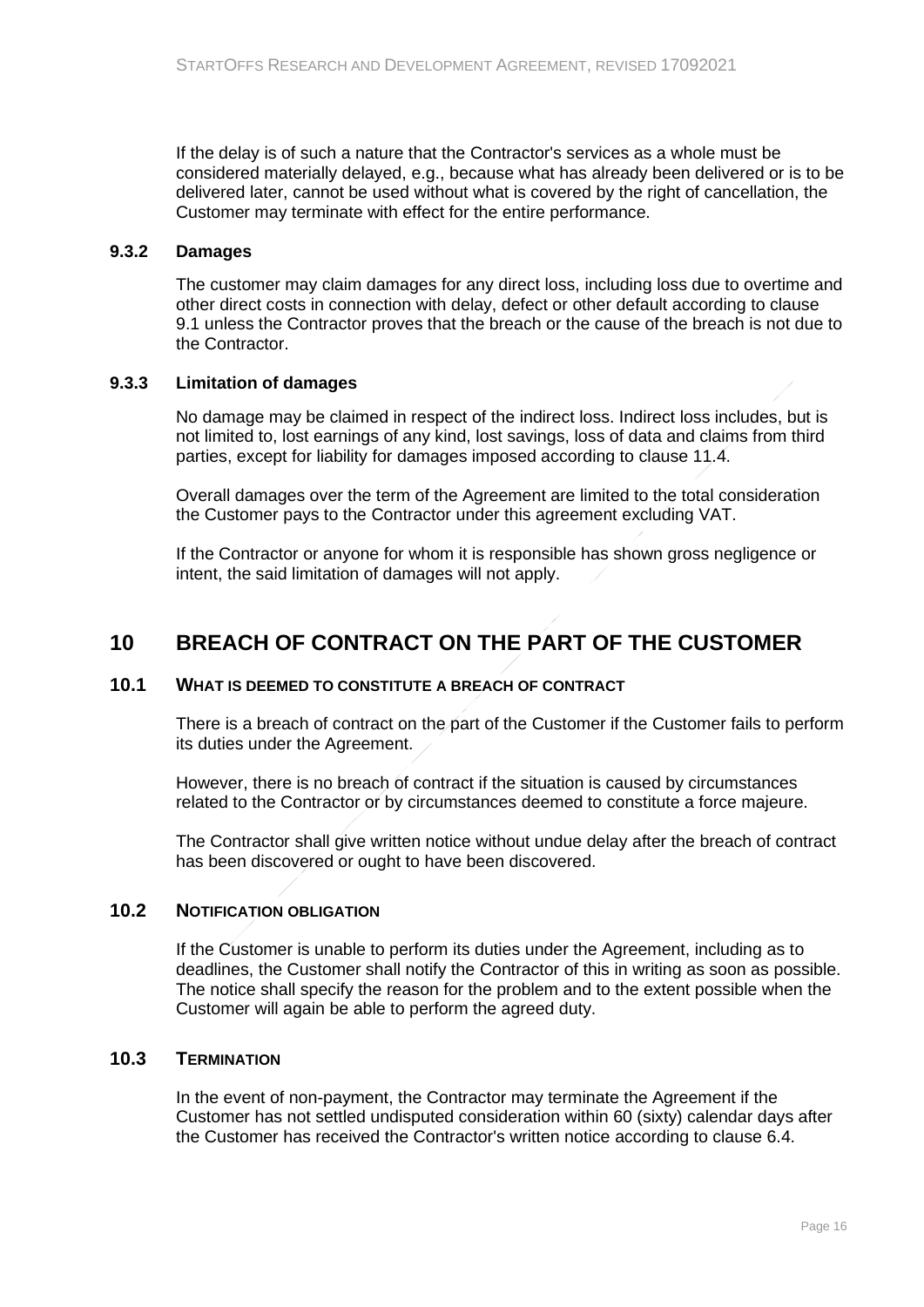If the delay is of such a nature that the Contractor's services as a whole must be considered materially delayed, e.g., because what has already been delivered or is to be delivered later, cannot be used without what is covered by the right of cancellation, the Customer may terminate with effect for the entire performance.

### **9.3.2 Damages**

<span id="page-15-0"></span>The customer may claim damages for any direct loss, including loss due to overtime and other direct costs in connection with delay, defect or other default according to clause 9.1 unless the Contractor proves that the breach or the cause of the breach is not due to the Contractor.

### **9.3.3 Limitation of damages**

<span id="page-15-1"></span>No damage may be claimed in respect of the indirect loss. Indirect loss includes, but is not limited to, lost earnings of any kind, lost savings, loss of data and claims from third parties, except for liability for damages imposed according to clause 11.4.

Overall damages over the term of the Agreement are limited to the total consideration the Customer pays to the Contractor under this agreement excluding VAT.

<span id="page-15-2"></span>If the Contractor or anyone for whom it is responsible has shown gross negligence or intent, the said limitation of damages will not apply.

# **10 BREACH OF CONTRACT ON THE PART OF THE CUSTOMER**

### **10.1 WHAT IS DEEMED TO CONSTITUTE A BREACH OF CONTRACT**

<span id="page-15-3"></span>There is a breach of contract on the part of the Customer if the Customer fails to perform its duties under the Agreement.

However, there is no breach of contract if the situation is caused by circumstances related to the Contractor or by circumstances deemed to constitute a force majeure.

The Contractor shall give written notice without undue delay after the breach of contract has been discovered or ought to have been discovered.

### **10.2 NOTIFICATION OBLIGATION**

<span id="page-15-4"></span>If the Customer is unable to perform its duties under the Agreement, including as to deadlines, the Customer shall notify the Contractor of this in writing as soon as possible. The notice shall specify the reason for the problem and to the extent possible when the Customer will again be able to perform the agreed duty.

### **10.3 TERMINATION**

<span id="page-15-5"></span>In the event of non-payment, the Contractor may terminate the Agreement if the Customer has not settled undisputed consideration within 60 (sixty) calendar days after the Customer has received the Contractor's written notice according to clause 6.4.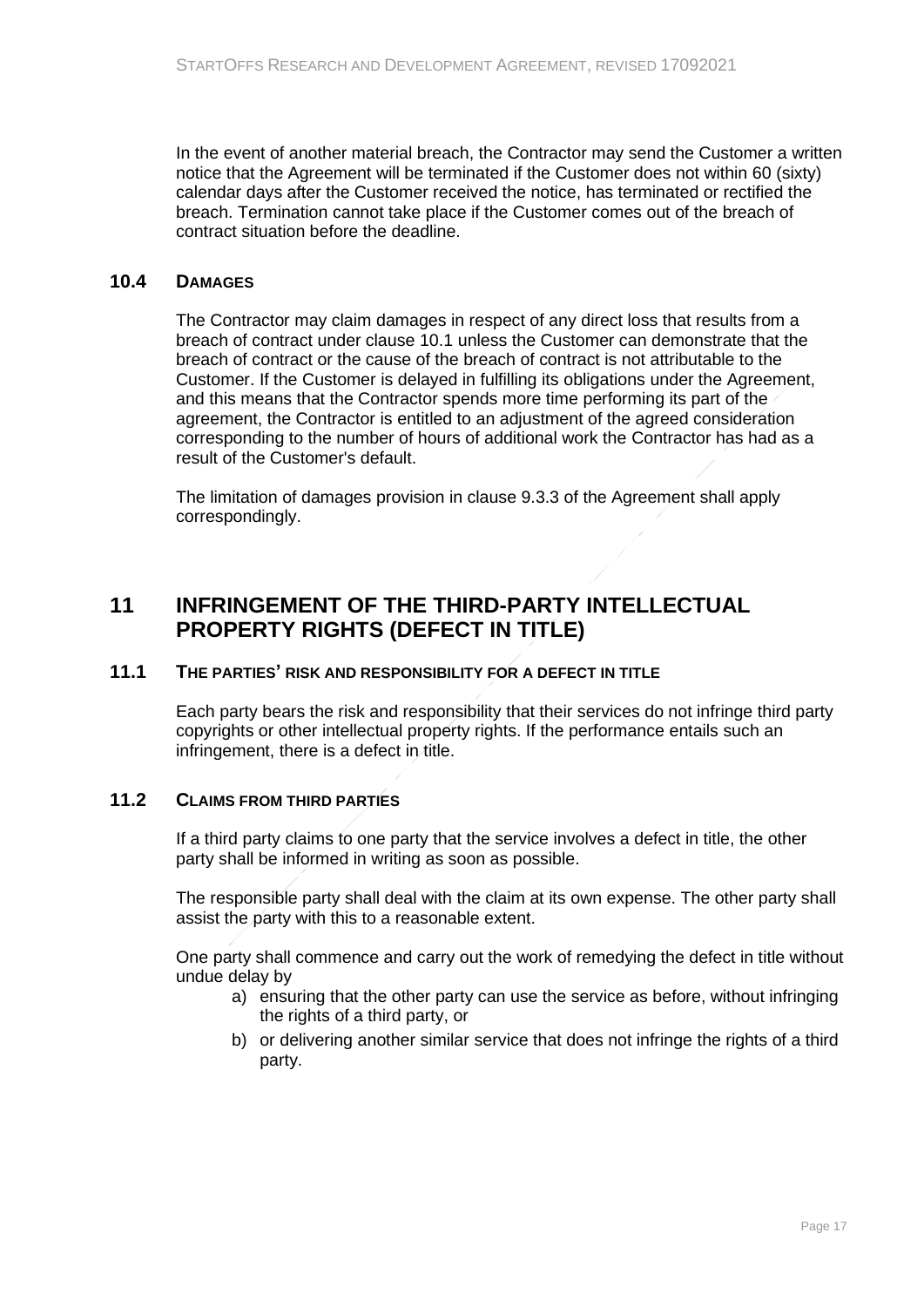In the event of another material breach, the Contractor may send the Customer a written notice that the Agreement will be terminated if the Customer does not within 60 (sixty) calendar days after the Customer received the notice, has terminated or rectified the breach. Termination cannot take place if the Customer comes out of the breach of contract situation before the deadline.

### **10.4 DAMAGES**

<span id="page-16-0"></span>The Contractor may claim damages in respect of any direct loss that results from a breach of contract under clause 10.1 unless the Customer can demonstrate that the breach of contract or the cause of the breach of contract is not attributable to the Customer. If the Customer is delayed in fulfilling its obligations under the Agreement, and this means that the Contractor spends more time performing its part of the agreement, the Contractor is entitled to an adjustment of the agreed consideration corresponding to the number of hours of additional work the Contractor has had as a result of the Customer's default.

<span id="page-16-1"></span>The limitation of damages provision in clause 9.3.3 of the Agreement shall apply correspondingly.

# **11 INFRINGEMENT OF THE THIRD-PARTY INTELLECTUAL PROPERTY RIGHTS (DEFECT IN TITLE)**

# **11.1 THE PARTIES' RISK AND RESPONSIBILITY FOR A DEFECT IN TITLE**

<span id="page-16-2"></span>Each party bears the risk and responsibility that their services do not infringe third party copyrights or other intellectual property rights. If the performance entails such an infringement, there is a defect in title.

### **11.2 CLAIMS FROM THIRD PARTIES**

<span id="page-16-3"></span>If a third party claims to one party that the service involves a defect in title, the other party shall be informed in writing as soon as possible.

The responsible party shall deal with the claim at its own expense. The other party shall assist the party with this to a reasonable extent.

One party shall commence and carry out the work of remedying the defect in title without undue delay by

- a) ensuring that the other party can use the service as before, without infringing the rights of a third party, or
- b) or delivering another similar service that does not infringe the rights of a third party.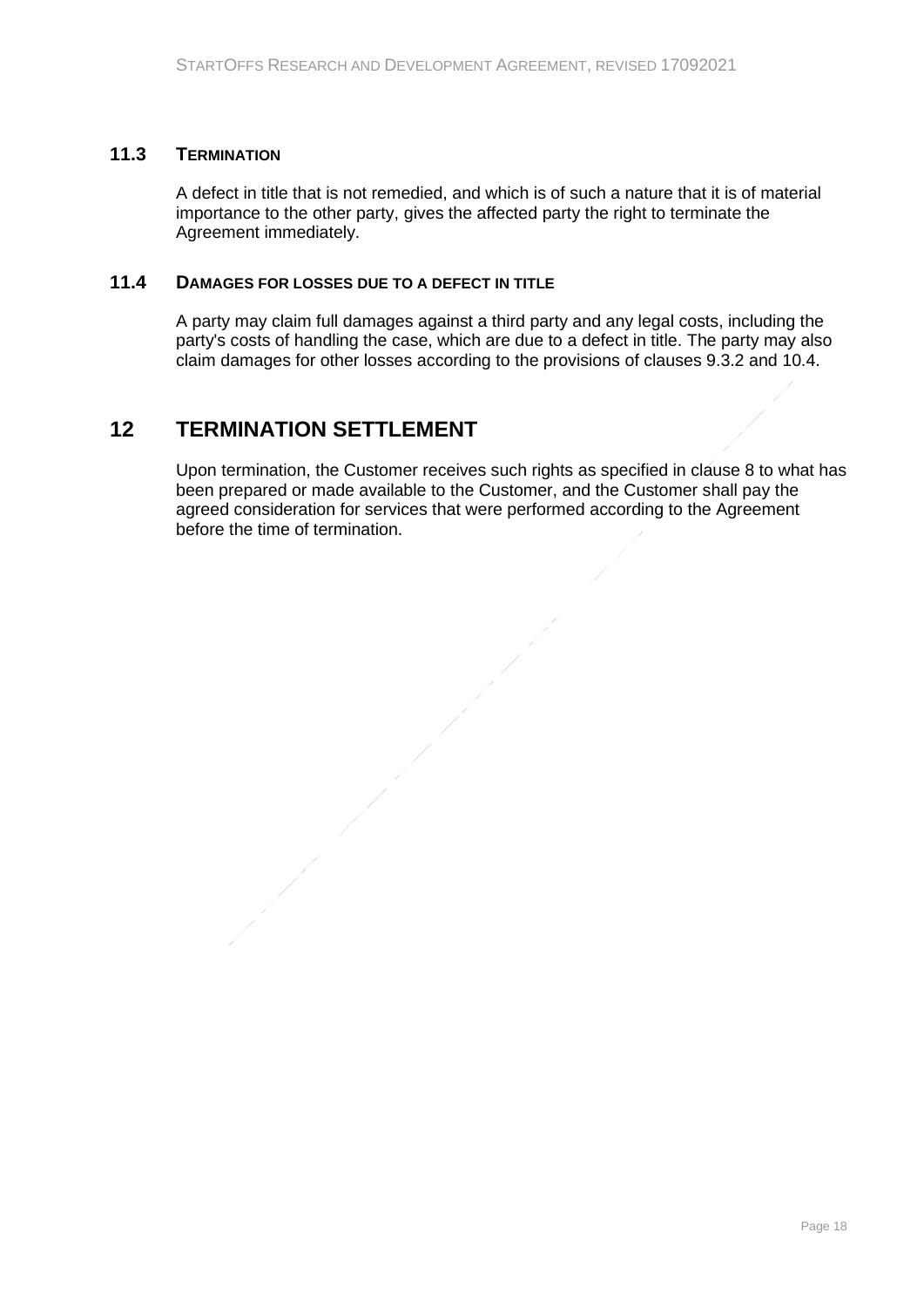### **11.3 TERMINATION**

<span id="page-17-0"></span>A defect in title that is not remedied, and which is of such a nature that it is of material importance to the other party, gives the affected party the right to terminate the Agreement immediately.

### **11.4 DAMAGES FOR LOSSES DUE TO A DEFECT IN TITLE**

<span id="page-17-2"></span><span id="page-17-1"></span>A party may claim full damages against a third party and any legal costs, including the party's costs of handling the case, which are due to a defect in title. The party may also claim damages for other losses according to the provisions of clauses 9.3.2 and 10.4.

# **12 TERMINATION SETTLEMENT**

Upon termination, the Customer receives such rights as specified in clause 8 to what has been prepared or made available to the Customer, and the Customer shall pay the agreed consideration for services that were performed according to the Agreement before the time of termination.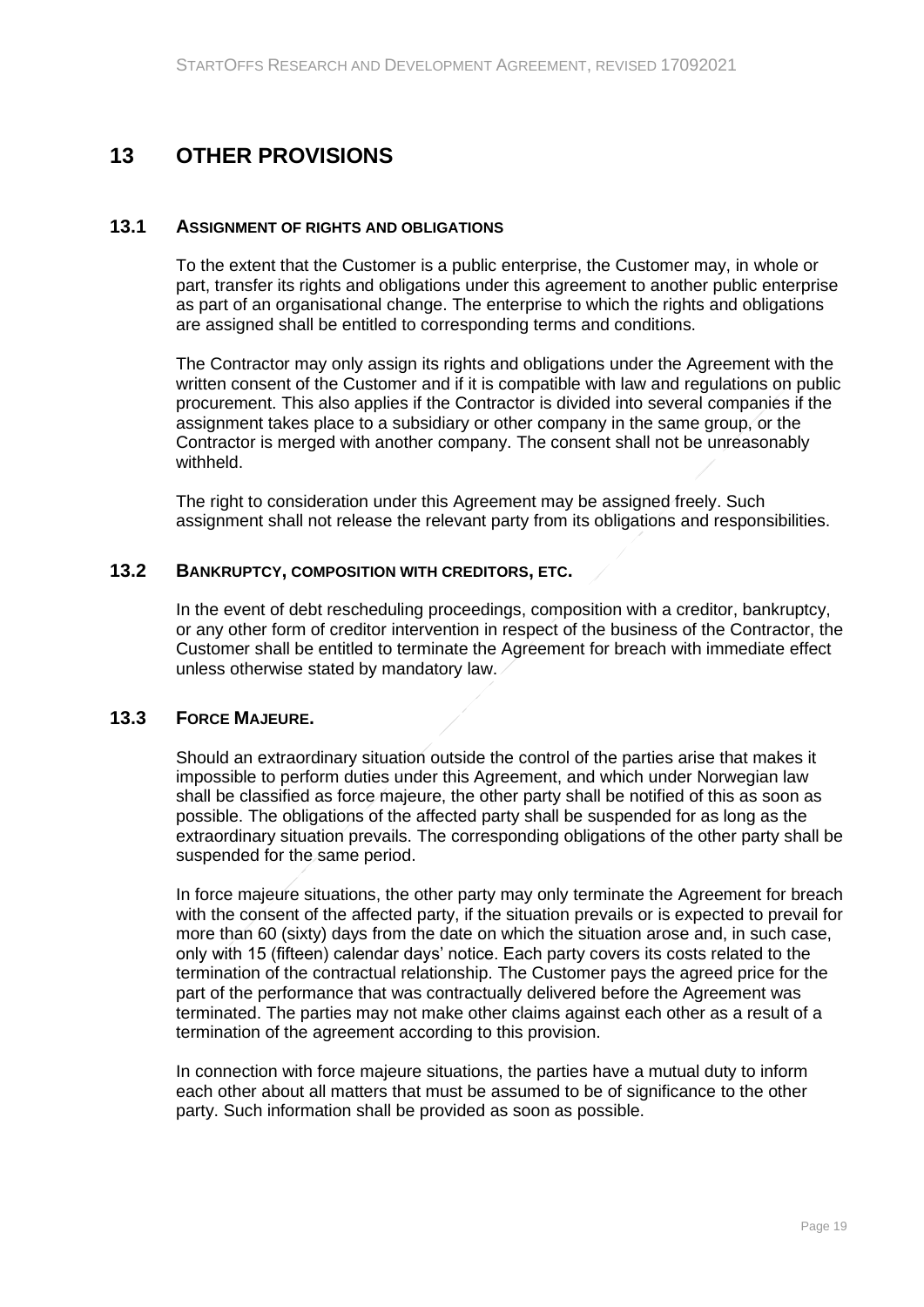# <span id="page-18-0"></span>**13 OTHER PROVISIONS**

### **13.1 ASSIGNMENT OF RIGHTS AND OBLIGATIONS**

<span id="page-18-1"></span>To the extent that the Customer is a public enterprise, the Customer may, in whole or part, transfer its rights and obligations under this agreement to another public enterprise as part of an organisational change. The enterprise to which the rights and obligations are assigned shall be entitled to corresponding terms and conditions.

The Contractor may only assign its rights and obligations under the Agreement with the written consent of the Customer and if it is compatible with law and regulations on public procurement. This also applies if the Contractor is divided into several companies if the assignment takes place to a subsidiary or other company in the same group, or the Contractor is merged with another company. The consent shall not be unreasonably withheld.

The right to consideration under this Agreement may be assigned freely. Such assignment shall not release the relevant party from its obligations and responsibilities.

#### **13.2 BANKRUPTCY, COMPOSITION WITH CREDITORS, ETC.**

<span id="page-18-2"></span>In the event of debt rescheduling proceedings, composition with a creditor, bankruptcy, or any other form of creditor intervention in respect of the business of the Contractor, the Customer shall be entitled to terminate the Agreement for breach with immediate effect unless otherwise stated by mandatory law.

### **13.3 FORCE MAJEURE.**

<span id="page-18-3"></span>Should an extraordinary situation outside the control of the parties arise that makes it impossible to perform duties under this Agreement, and which under Norwegian law shall be classified as force majeure, the other party shall be notified of this as soon as possible. The obligations of the affected party shall be suspended for as long as the extraordinary situation prevails. The corresponding obligations of the other party shall be suspended for the same period.

In force majeure situations, the other party may only terminate the Agreement for breach with the consent of the affected party, if the situation prevails or is expected to prevail for more than 60 (sixty) days from the date on which the situation arose and, in such case, only with 15 (fifteen) calendar days' notice. Each party covers its costs related to the termination of the contractual relationship. The Customer pays the agreed price for the part of the performance that was contractually delivered before the Agreement was terminated. The parties may not make other claims against each other as a result of a termination of the agreement according to this provision.

In connection with force majeure situations, the parties have a mutual duty to inform each other about all matters that must be assumed to be of significance to the other party. Such information shall be provided as soon as possible.